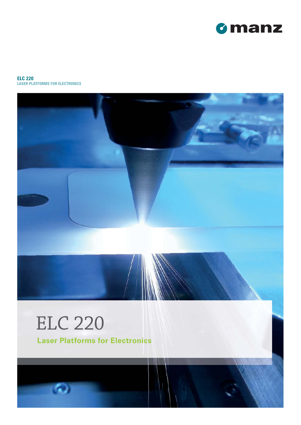

#### **ELC 220 LASER PLATFORMS FOR ELECTRONICS**



# ELC 220

ló.

**Laser Platforms for Electronics**